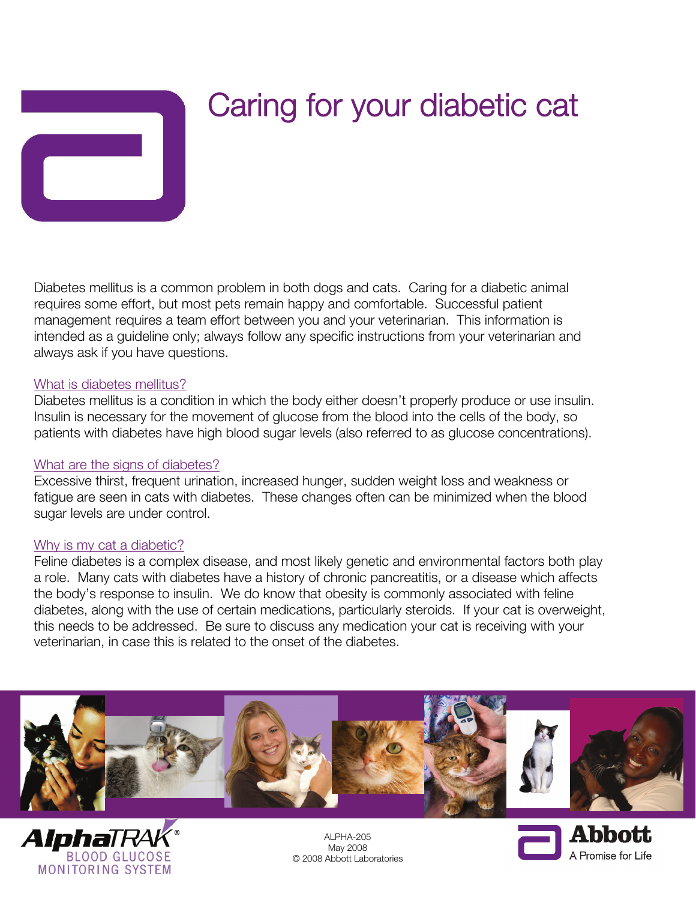

# Caring for your diabetic cat

Diabetes mellitus is a common problem in both dogs and cats. Caring for a diabetic animal requires some effort, but most pets remain happy and comfortable. Successful patient management requires a team effort between you and your veterinarian. This information is intended as a guideline only; always follow any specific instructions from your veterinarian and always ask if you have questions.

#### What is diabetes mellitus?

Diabetes mellitus is a condition in which the body either doesn't properly produce or use insulin. Insulin is necessary for the movement of glucose from the blood into the cells of the body, so patients with diabetes have high blood sugar levels (also referred to as glucose concentrations).

## What are the signs of diabetes?

Excessive thirst, frequent urination, increased hunger, sudden weight loss and weakness or fatigue are seen in cats with diabetes. These changes often can be minimized when the blood sugar levels are under control.

#### Why is my cat a diabetic?

Feline diabetes is a complex disease, and most likely genetic and environmental factors both play a role. Many cats with diabetes have a history of chronic pancreatitis, or a disease which affects the body's response to insulin. We do know that obesity is commonly associated with feline diabetes, along with the use of certain medications, particularly steroids. If your cat is overweight, this needs to be addressed. Be sure to discuss any medication your cat is receiving with your veterinarian, in case this is related to the onset of the diabetes.





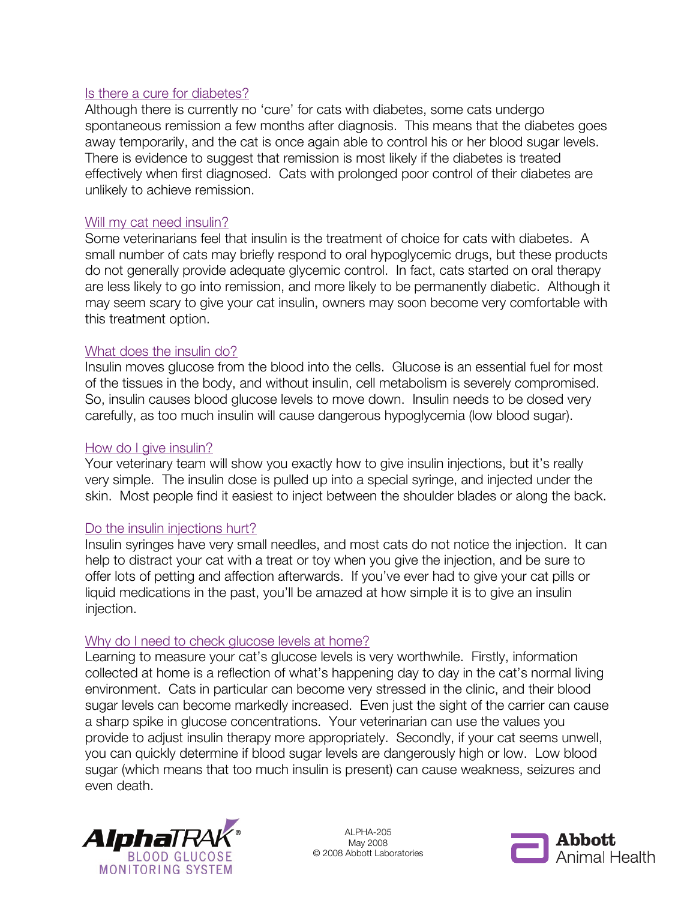## Is there a cure for diabetes?

Although there is currently no 'cure' for cats with diabetes, some cats undergo spontaneous remission a few months after diagnosis. This means that the diabetes goes away temporarily, and the cat is once again able to control his or her blood sugar levels. There is evidence to suggest that remission is most likely if the diabetes is treated effectively when first diagnosed. Cats with prolonged poor control of their diabetes are unlikely to achieve remission.

## Will my cat need insulin?

Some veterinarians feel that insulin is the treatment of choice for cats with diabetes. A small number of cats may briefly respond to oral hypoglycemic drugs, but these products do not generally provide adequate glycemic control. In fact, cats started on oral therapy are less likely to go into remission, and more likely to be permanently diabetic. Although it may seem scary to give your cat insulin, owners may soon become very comfortable with this treatment option.

## What does the insulin do?

Insulin moves glucose from the blood into the cells. Glucose is an essential fuel for most of the tissues in the body, and without insulin, cell metabolism is severely compromised. So, insulin causes blood glucose levels to move down. Insulin needs to be dosed very carefully, as too much insulin will cause dangerous hypoglycemia (low blood sugar).

## How do I give insulin?

Your veterinary team will show you exactly how to give insulin injections, but it's really very simple. The insulin dose is pulled up into a special syringe, and injected under the skin. Most people find it easiest to inject between the shoulder blades or along the back.

# Do the insulin injections hurt?

Insulin syringes have very small needles, and most cats do not notice the injection. It can help to distract your cat with a treat or toy when you give the injection, and be sure to offer lots of petting and affection afterwards. If you've ever had to give your cat pills or liquid medications in the past, you'll be amazed at how simple it is to give an insulin injection.

## Why do I need to check glucose levels at home?

Learning to measure your cat's glucose levels is very worthwhile. Firstly, information collected at home is a reflection of what's happening day to day in the cat's normal living environment. Cats in particular can become very stressed in the clinic, and their blood sugar levels can become markedly increased. Even just the sight of the carrier can cause a sharp spike in glucose concentrations. Your veterinarian can use the values you provide to adjust insulin therapy more appropriately. Secondly, if your cat seems unwell, you can quickly determine if blood sugar levels are dangerously high or low. Low blood sugar (which means that too much insulin is present) can cause weakness, seizures and even death.



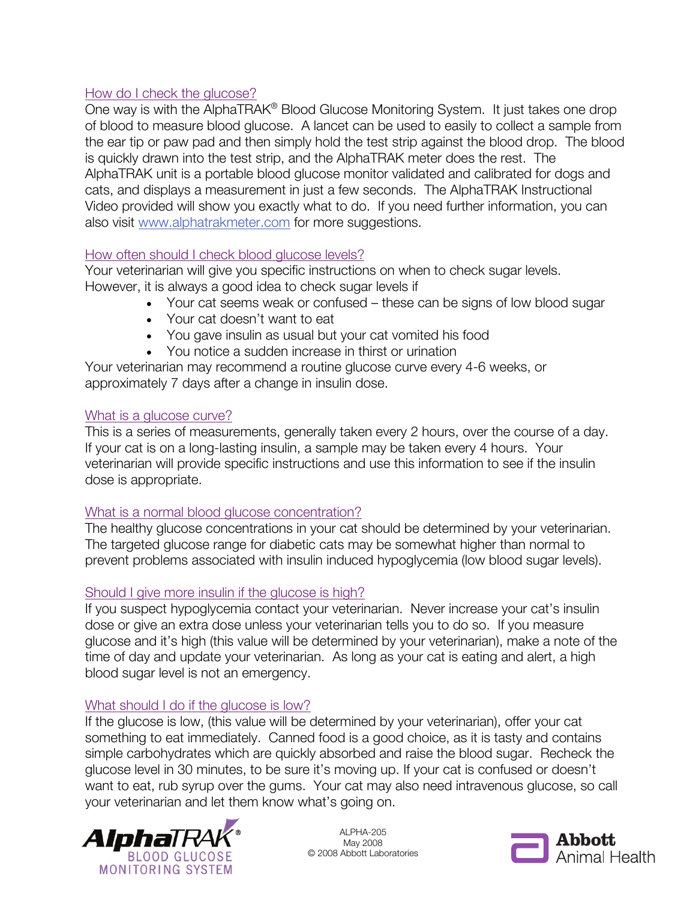## How do I check the glucose?

One way is with the AlphaTRAK® Blood Glucose Monitoring System. It just takes one drop of blood to measure blood glucose. A lancet can be used to easily to collect a sample from the ear tip or paw pad and then simply hold the test strip against the blood drop. The blood is quickly drawn into the test strip, and the AlphaTRAK meter does the rest. The AlphaTRAK unit is a portable blood glucose monitor validated and calibrated for dogs and cats, and displays a measurement in just a few seconds. The AlphaTRAK Instructional Video provided will show you exactly what to do. If you need further information, you can also visit www.alphatrakmeter.com for more suggestions.

## How often should I check blood glucose levels?

Your veterinarian will give you specific instructions on when to check sugar levels. However, it is always a good idea to check sugar levels if

- Your cat seems weak or confused these can be signs of low blood sugar
- Your cat doesn't want to eat
- You gave insulin as usual but your cat vomited his food
- You notice a sudden increase in thirst or urination

Your veterinarian may recommend a routine glucose curve every 4-6 weeks, or approximately 7 days after a change in insulin dose.

## What is a glucose curve?

This is a series of measurements, generally taken every 2 hours, over the course of a day. If your cat is on a long-lasting insulin, a sample may be taken every 4 hours. Your veterinarian will provide specific instructions and use this information to see if the insulin dose is appropriate.

## What is a normal blood glucose concentration?

The healthy glucose concentrations in your cat should be determined by your veterinarian. The targeted glucose range for diabetic cats may be somewhat higher than normal to prevent problems associated with insulin induced hypoglycemia (low blood sugar levels).

## Should I give more insulin if the glucose is high?

If you suspect hypoglycemia contact your veterinarian. Never increase your cat's insulin dose or give an extra dose unless your veterinarian tells you to do so. If you measure glucose and it's high (this value will be determined by your veterinarian), make a note of the time of day and update your veterinarian. As long as your cat is eating and alert, a high blood sugar level is not an emergency.

## What should I do if the glucose is low?

If the glucose is low, (this value will be determined by your veterinarian), offer your cat something to eat immediately. Canned food is a good choice, as it is tasty and contains simple carbohydrates which are quickly absorbed and raise the blood sugar. Recheck the glucose level in 30 minutes, to be sure it's moving up. If your cat is confused or doesn't want to eat, rub syrup over the gums. Your cat may also need intravenous glucose, so call your veterinarian and let them know what's going on.